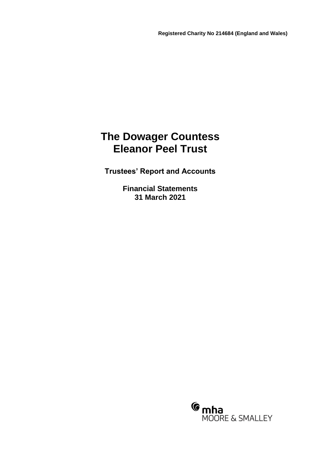# **The Dowager Countess Eleanor Peel Trust**

**Trustees' Report and Accounts**

**Financial Statements 31 March 2021**

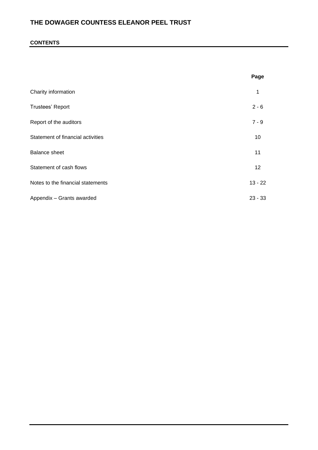### **CONTENTS**

|                                   | Page      |
|-----------------------------------|-----------|
| Charity information               | 1         |
| Trustees' Report                  | $2 - 6$   |
| Report of the auditors            | $7 - 9$   |
| Statement of financial activities | 10        |
| <b>Balance sheet</b>              | 11        |
| Statement of cash flows           | 12        |
| Notes to the financial statements | $13 - 22$ |
| Appendix - Grants awarded         | $23 - 33$ |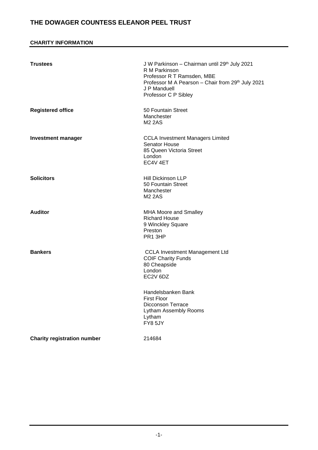### **CHARITY INFORMATION**

| <b>Trustees</b>                    | J W Parkinson - Chairman until 29th July 2021<br>R M Parkinson<br>Professor R T Ramsden, MBE<br>Professor M A Pearson - Chair from 29th July 2021<br>J P Manduell<br>Professor C P Sibley |
|------------------------------------|-------------------------------------------------------------------------------------------------------------------------------------------------------------------------------------------|
| <b>Registered office</b>           | 50 Fountain Street<br>Manchester<br><b>M2 2AS</b>                                                                                                                                         |
| <b>Investment manager</b>          | <b>CCLA Investment Managers Limited</b><br><b>Senator House</b><br>85 Queen Victoria Street<br>London<br>EC4V 4ET                                                                         |
| <b>Solicitors</b>                  | <b>Hill Dickinson LLP</b><br>50 Fountain Street<br>Manchester<br><b>M2 2AS</b>                                                                                                            |
| <b>Auditor</b>                     | <b>MHA Moore and Smalley</b><br><b>Richard House</b><br>9 Winckley Square<br>Preston<br>PR1 3HP                                                                                           |
| <b>Bankers</b>                     | <b>CCLA Investment Management Ltd</b><br><b>COIF Charity Funds</b><br>80 Cheapside<br>London<br>EC2V 6DZ                                                                                  |
|                                    | Handelsbanken Bank<br><b>First Floor</b><br><b>Dicconson Terrace</b><br>Lytham Assembly Rooms<br>Lytham<br>FY8 5JY                                                                        |
| <b>Charity registration number</b> | 214684                                                                                                                                                                                    |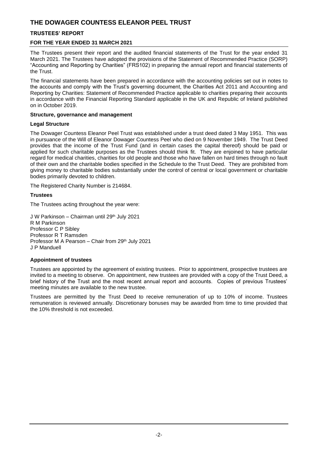### **TRUSTEES' REPORT**

### **FOR THE YEAR ENDED 31 MARCH 2021**

The Trustees present their report and the audited financial statements of the Trust for the year ended 31 March 2021. The Trustees have adopted the provisions of the Statement of Recommended Practice (SORP) "Accounting and Reporting by Charities" (FRS102) in preparing the annual report and financial statements of the Trust.

The financial statements have been prepared in accordance with the accounting policies set out in notes to the accounts and comply with the Trust's governing document, the Charities Act 2011 and Accounting and Reporting by Charities: Statement of Recommended Practice applicable to charities preparing their accounts in accordance with the Financial Reporting Standard applicable in the UK and Republic of Ireland published on in October 2019.

### **Structure, governance and management**

### **Legal Structure**

The Dowager Countess Eleanor Peel Trust was established under a trust deed dated 3 May 1951. This was in pursuance of the Will of Eleanor Dowager Countess Peel who died on 9 November 1949. The Trust Deed provides that the income of the Trust Fund (and in certain cases the capital thereof) should be paid or applied for such charitable purposes as the Trustees should think fit. They are enjoined to have particular regard for medical charities, charities for old people and those who have fallen on hard times through no fault of their own and the charitable bodies specified in the Schedule to the Trust Deed. They are prohibited from giving money to charitable bodies substantially under the control of central or local government or charitable bodies primarily devoted to children.

The Registered Charity Number is 214684.

### **Trustees**

The Trustees acting throughout the year were:

J W Parkinson - Chairman until 29<sup>th</sup> July 2021 R M Parkinson Professor C P Sibley Professor R T Ramsden Professor M A Pearson – Chair from 29th July 2021 J P Manduell

### **Appointment of trustees**

Trustees are appointed by the agreement of existing trustees. Prior to appointment, prospective trustees are invited to a meeting to observe. On appointment, new trustees are provided with a copy of the Trust Deed, a brief history of the Trust and the most recent annual report and accounts. Copies of previous Trustees' meeting minutes are available to the new trustee.

Trustees are permitted by the Trust Deed to receive remuneration of up to 10% of income. Trustees remuneration is reviewed annually. Discretionary bonuses may be awarded from time to time provided that the 10% threshold is not exceeded.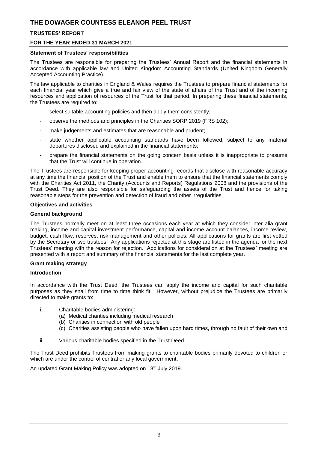### **TRUSTEES' REPORT**

### **FOR THE YEAR ENDED 31 MARCH 2021**

### **Statement of Trustees' responsibilities**

The Trustees are responsible for preparing the Trustees' Annual Report and the financial statements in accordance with applicable law and United Kingdom Accounting Standards (United Kingdom Generally Accepted Accounting Practice).

The law applicable to charities in England & Wales requires the Trustees to prepare financial statements for each financial year which give a true and fair view of the state of affairs of the Trust and of the incoming resources and application of resources of the Trust for that period. In preparing these financial statements, the Trustees are required to:

- select suitable accounting policies and then apply them consistently;
- observe the methods and principles in the Charities SORP 2019 (FRS 102);
- make judgements and estimates that are reasonable and prudent;
- state whether applicable accounting standards have been followed, subject to any material departures disclosed and explained in the financial statements;
- prepare the financial statements on the going concern basis unless it is inappropriate to presume that the Trust will continue in operation.

The Trustees are responsible for keeping proper accounting records that disclose with reasonable accuracy at any time the financial position of the Trust and enable them to ensure that the financial statements comply with the Charities Act 2011, the Charity (Accounts and Reports) Regulations 2008 and the provisions of the Trust Deed. They are also responsible for safeguarding the assets of the Trust and hence for taking reasonable steps for the prevention and detection of fraud and other irregularities.

#### **Objectives and activities**

#### **General background**

The Trustees normally meet on at least three occasions each year at which they consider inter alia grant making, income and capital investment performance, capital and income account balances, income review, budget, cash flow, reserves, risk management and other policies. All applications for grants are first vetted by the Secretary or two trustees. Any applications rejected at this stage are listed in the agenda for the next Trustees' meeting with the reason for rejection. Applications for consideration at the Trustees' meeting are presented with a report and summary of the financial statements for the last complete year.

#### **Grant making strategy**

#### **Introduction**

In accordance with the Trust Deed, the Trustees can apply the income and capital for such charitable purposes as they shall from time to time think fit. However, without prejudice the Trustees are primarily directed to make grants to:

- i. Charitable bodies administering:
	- (a) Medical charities including medical research
	- (b) Charities in connection with old people
	- (c) Charities assisting people who have fallen upon hard times, through no fault of their own and
- ii. Various charitable bodies specified in the Trust Deed

The Trust Deed prohibits Trustees from making grants to charitable bodies primarily devoted to children or which are under the control of central or any local government.

An updated Grant Making Policy was adopted on 18<sup>th</sup> July 2019.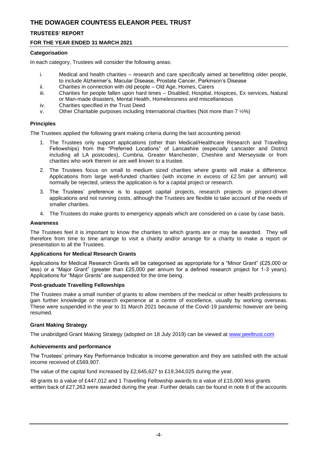### **TRUSTEES' REPORT**

### **FOR THE YEAR ENDED 31 MARCH 2021**

### **Categorisation**

In each category, Trustees will consider the following areas:

- i. Medical and health charities research and care specifically aimed at benefitting older people, to include Alzheimer's, Macular Disease, Prostate Cancer, Parkinson's Disease
- ii. Charities in connection with old people Old Age, Homes, Carers
- iii. Charities for people fallen upon hard times Disabled, Hospital, Hospices, Ex services, Natural or Man-made disasters, Mental Health, Homelessness and miscellaneous
- iv. Charities specified in the Trust Deed
- v. Other Charitable purposes including International charities (Not more than 7 ½%)

### **Principles**

The Trustees applied the following grant making criteria during the last accounting period:

- 1. The Trustees only support applications (other than Medical/Healthcare Research and Travelling Fellowships) from the "Preferred Locations" of Lancashire (especially Lancaster and District including all LA postcodes), Cumbria, Greater Manchester, Cheshire and Merseyside or from charities who work therein or are well known to a trustee.
- 2. The Trustees focus on small to medium sized charities where grants will make a difference. Applications from large well-funded charities (with income in excess of £2.5m per annum) will normally be rejected, unless the application is for a capital project or research.
- 3. The Trustees' preference is to support capital projects, research projects or project-driven applications and not running costs, although the Trustees are flexible to take account of the needs of smaller charities.
- 4. The Trustees do make grants to emergency appeals which are considered on a case by case basis.

### **Awareness**

The Trustees feel it is important to know the charities to which grants are or may be awarded. They will therefore from time to time arrange to visit a charity and/or arrange for a charity to make a report or presentation to all the Trustees.

### **Applications for Medical Research Grants**

Applications for Medical Research Grants will be categorised as appropriate for a "Minor Grant" (£25,000 or less) or a "Major Grant" (greater than £25,000 per annum for a defined research project for 1-3 years). Applications for "Major Grants" are suspended for the time being.

### **Post-graduate Travelling Fellowships**

The Trustees make a small number of grants to allow members of the medical or other health professions to gain further knowledge or research experience at a centre of excellence, usually by working overseas. These were suspended in the year to 31 March 2021 because of the Covid-19 pandemic however are being resumed.

### **Grant Making Strategy**

The unabridged Grant Making Strategy (adopted on 18 July 2019) can be viewed at [www.peeltrust.com](http://www.peeltrust.com/)

### **Achievements and performance**

The Trustees' primary Key Performance Indicator is income generation and they are satisfied with the actual income received of £569,907.

The value of the capital fund increased by £2,645,627 to £19,344,025 during the year.

48 grants to a value of £447,012 and 1 Travelling Fellowship awards to a value of £15,000 less grants written back of £27,263 were awarded during the year. Further details can be found in note 8 of the accounts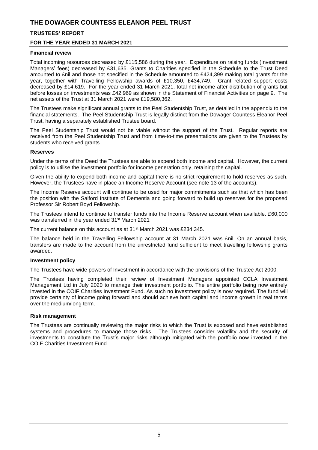### **TRUSTEES' REPORT**

### **FOR THE YEAR ENDED 31 MARCH 2021**

#### **Financial review**

Total incoming resources decreased by £115,586 during the year. Expenditure on raising funds (Investment Managers' fees) decreased by £31,635. Grants to Charities specified in the Schedule to the Trust Deed amounted to £nil and those not specified in the Schedule amounted to £424,399 making total grants for the year, together with Travelling Fellowship awards of £10,350, £434,749. Grant related support costs decreased by £14,619. For the year ended 31 March 2021, total net income after distribution of grants but before losses on investments was £42,969 as shown in the Statement of Financial Activities on page 9. The net assets of the Trust at 31 March 2021 were £19,580,362.

The Trustees make significant annual grants to the Peel Studentship Trust, as detailed in the appendix to the financial statements. The Peel Studentship Trust is legally distinct from the Dowager Countess Eleanor Peel Trust, having a separately established Trustee board.

The Peel Studentship Trust would not be viable without the support of the Trust. Regular reports are received from the Peel Studentship Trust and from time-to-time presentations are given to the Trustees by students who received grants.

#### **Reserves**

Under the terms of the Deed the Trustees are able to expend both income and capital. However, the current policy is to utilise the investment portfolio for income generation only, retaining the capital.

Given the ability to expend both income and capital there is no strict requirement to hold reserves as such. However, the Trustees have in place an Income Reserve Account (see note 13 of the accounts).

The Income Reserve account will continue to be used for major commitments such as that which has been the position with the Salford Institute of Dementia and going forward to build up reserves for the proposed Professor Sir Robert Boyd Fellowship.

The Trustees intend to continue to transfer funds into the Income Reserve account when available. £60,000 was transferred in the year ended 31<sup>st</sup> March 2021

The current balance on this account as at 31<sup>st</sup> March 2021 was £234,345.

The balance held in the Travelling Fellowship account at 31 March 2021 was £nil. On an annual basis, transfers are made to the account from the unrestricted fund sufficient to meet travelling fellowship grants awarded.

#### **Investment policy**

The Trustees have wide powers of Investment in accordance with the provisions of the Trustee Act 2000.

The Trustees having completed their review of Investment Managers appointed CCLA Investment Management Ltd in July 2020 to manage their investment portfolio. The entire portfolio being now entirely invested in the COIF Charities Investment Fund. As such no investment policy is now required. The fund will provide certainty of income going forward and should achieve both capital and income growth in real terms over the medium/long term.

#### **Risk management**

The Trustees are continually reviewing the major risks to which the Trust is exposed and have established systems and procedures to manage those risks. The Trustees consider volatility and the security of investments to constitute the Trust's major risks although mitigated with the portfolio now invested in the COIF Charities Investment Fund.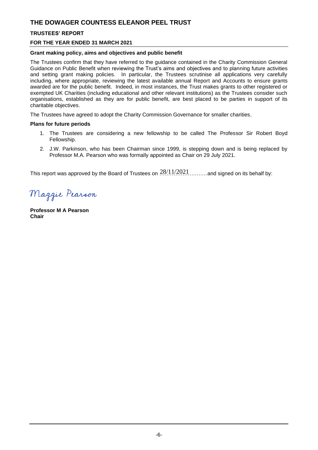### **TRUSTEES' REPORT**

### **FOR THE YEAR ENDED 31 MARCH 2021**

### **Grant making policy, aims and objectives and public benefit**

The Trustees confirm that they have referred to the guidance contained in the Charity Commission General Guidance on Public Benefit when reviewing the Trust's aims and objectives and to planning future activities and setting grant making policies. In particular, the Trustees scrutinise all applications very carefully including, where appropriate, reviewing the latest available annual Report and Accounts to ensure grants awarded are for the public benefit. Indeed, in most instances, the Trust makes grants to other registered or exempted UK Charities (including educational and other relevant institutions) as the Trustees consider such organisations, established as they are for public benefit, are best placed to be parties in support of its charitable objectives.

The Trustees have agreed to adopt the Charity Commission Governance for smaller charities.

### **Plans for future periods**

- 1. The Trustees are considering a new fellowship to be called The Professor Sir Robert Boyd Fellowship.
- 2. J.W. Parkinson, who has been Chairman since 1999, is stepping down and is being replaced by Professor M.A. Pearson who was formally appointed as Chair on 29 July 2021.

This report was approved by the Board of Trustees on  $.28/11/2021$ ...........and signed on its behalf by:

Maggie Pearson

**Professor M A Pearson Chair**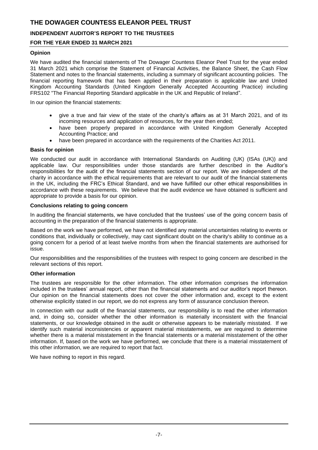### **INDEPENDENT AUDITOR'S REPORT TO THE TRUSTEES**

### **FOR THE YEAR ENDED 31 MARCH 2021**

#### **Opinion**

We have audited the financial statements of The Dowager Countess Eleanor Peel Trust for the year ended 31 March 2021 which comprise the Statement of Financial Activities, the Balance Sheet, the Cash Flow Statement and notes to the financial statements, including a summary of significant accounting policies. The financial reporting framework that has been applied in their preparation is applicable law and United Kingdom Accounting Standards (United Kingdom Generally Accepted Accounting Practice) including FRS102 "The Financial Reporting Standard applicable in the UK and Republic of Ireland".

In our opinion the financial statements:

- give a true and fair view of the state of the charity's affairs as at 31 March 2021, and of its incoming resources and application of resources, for the year then ended;
- have been properly prepared in accordance with United Kingdom Generally Accepted Accounting Practice; and
- have been prepared in accordance with the requirements of the Charities Act 2011.

#### **Basis for opinion**

We conducted our audit in accordance with International Standards on Auditing (UK) (ISAs (UK)) and applicable law. Our responsibilities under those standards are further described in the Auditor's responsibilities for the audit of the financial statements section of our report. We are independent of the charity in accordance with the ethical requirements that are relevant to our audit of the financial statements in the UK, including the FRC's Ethical Standard, and we have fulfilled our other ethical responsibilities in accordance with these requirements. We believe that the audit evidence we have obtained is sufficient and appropriate to provide a basis for our opinion.

#### **Conclusions relating to going concern**

In auditing the financial statements, we have concluded that the trustees' use of the going concern basis of accounting in the preparation of the financial statements is appropriate.

Based on the work we have performed, we have not identified any material uncertainties relating to events or conditions that, individually or collectively, may cast significant doubt on the charity's ability to continue as a going concern for a period of at least twelve months from when the financial statements are authorised for issue.

Our responsibilities and the responsibilities of the trustees with respect to going concern are described in the relevant sections of this report.

### **Other information**

The trustees are responsible for the other information. The other information comprises the information included in the trustees' annual report, other than the financial statements and our auditor's report thereon. Our opinion on the financial statements does not cover the other information and, except to the extent otherwise explicitly stated in our report, we do not express any form of assurance conclusion thereon.

In connection with our audit of the financial statements, our responsibility is to read the other information and, in doing so, consider whether the other information is materially inconsistent with the financial statements, or our knowledge obtained in the audit or otherwise appears to be materially misstated. If we identify such material inconsistencies or apparent material misstatements, we are required to determine whether there is a material misstatement in the financial statements or a material misstatement of the other information. If, based on the work we have performed, we conclude that there is a material misstatement of this other information, we are required to report that fact.

We have nothing to report in this regard.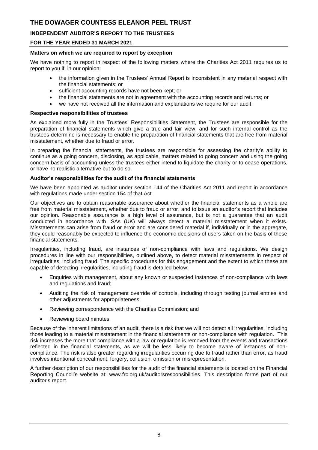### **INDEPENDENT AUDITOR'S REPORT TO THE TRUSTEES**

#### **FOR THE YEAR ENDED 31 MARCH 2021**

#### **Matters on which we are required to report by exception**

We have nothing to report in respect of the following matters where the Charities Act 2011 requires us to report to you if, in our opinion:

- the information given in the Trustees' Annual Report is inconsistent in any material respect with the financial statements; or
- sufficient accounting records have not been kept; or
- the financial statements are not in agreement with the accounting records and returns; or
- we have not received all the information and explanations we require for our audit.

#### **Respective responsibilities of trustees**

As explained more fully in the Trustees' Responsibilities Statement, the Trustees are responsible for the preparation of financial statements which give a true and fair view, and for such internal control as the trustees determine is necessary to enable the preparation of financial statements that are free from material misstatement, whether due to fraud or error.

In preparing the financial statements, the trustees are responsible for assessing the charity's ability to continue as a going concern, disclosing, as applicable, matters related to going concern and using the going concern basis of accounting unless the trustees either intend to liquidate the charity or to cease operations, or have no realistic alternative but to do so.

#### **Auditor's responsibilities for the audit of the financial statements**

We have been appointed as auditor under section 144 of the Charities Act 2011 and report in accordance with regulations made under section 154 of that Act.

Our objectives are to obtain reasonable assurance about whether the financial statements as a whole are free from material misstatement, whether due to fraud or error, and to issue an auditor's report that includes our opinion. Reasonable assurance is a high level of assurance, but is not a guarantee that an audit conducted in accordance with ISAs (UK) will always detect a material misstatement when it exists. Misstatements can arise from fraud or error and are considered material if, individually or in the aggregate, they could reasonably be expected to influence the economic decisions of users taken on the basis of these financial statements.

Irregularities, including fraud, are instances of non-compliance with laws and regulations. We design procedures in line with our responsibilities, outlined above, to detect material misstatements in respect of irregularities, including fraud. The specific procedures for this engagement and the extent to which these are capable of detecting irregularities, including fraud is detailed below:

- Enquiries with management, about any known or suspected instances of non-compliance with laws and regulations and fraud;
- Auditing the risk of management override of controls, including through testing journal entries and other adjustments for appropriateness;
- Reviewing correspondence with the Charities Commission; and
- Reviewing board minutes.

Because of the inherent limitations of an audit, there is a risk that we will not detect all irregularities, including those leading to a material misstatement in the financial statements or non-compliance with regulation. This risk increases the more that compliance with a law or regulation is removed from the events and transactions reflected in the financial statements, as we will be less likely to become aware of instances of noncompliance. The risk is also greater regarding irregularities occurring due to fraud rather than error, as fraud involves intentional concealment, forgery, collusion, omission or misrepresentation.

A further description of our responsibilities for the audit of the financial statements is located on the Financial Reporting Council's website at: www.frc.org.uk/auditorsresponsibilities. This description forms part of our auditor's report.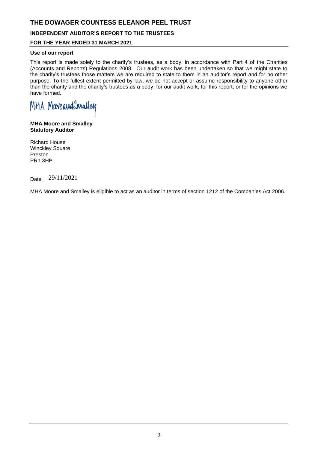### **INDEPENDENT AUDITOR'S REPORT TO THE TRUSTEES**

### **FOR THE YEAR ENDED 31 MARCH 2021**

### **Use of our report**

This report is made solely to the charity's trustees, as a body, in accordance with Part 4 of the Charities (Accounts and Reports) Regulations 2008. Our audit work has been undertaken so that we might state to the charity's trustees those matters we are required to state to them in an auditor's report and for no other purpose. To the fullest extent permitted by law, we do not accept or assume responsibility to anyone other than the charity and the charity's trustees as a body, for our audit work, for this report, or for the opinions we have formed.

MHA MooveaudConalley

**MHA Moore and Smalley Statutory Auditor**

Richard House Winckley Square Preston PR1 3HP

Date 29/11/2021

MHA Moore and Smalley is eligible to act as an auditor in terms of section 1212 of the Companies Act 2006.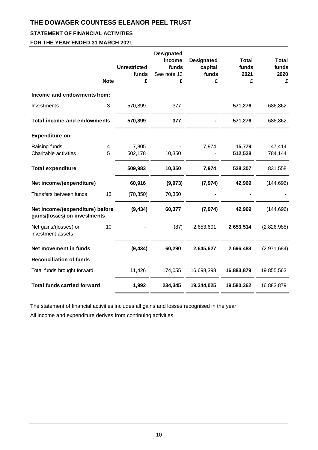## **STATEMENT OF FINANCIAL ACTIVITIES**

**FOR THE YEAR ENDED 31 MARCH 2021**

|                                                                  | <b>Note</b> | <b>Unrestricted</b><br>funds<br>£ | Designated<br>income<br>funds<br>See note 13<br>£ | <b>Designated</b><br>capital<br>funds<br>£ | <b>Total</b><br>funds<br>2021<br>£ | <b>Total</b><br>funds<br>2020<br>£ |
|------------------------------------------------------------------|-------------|-----------------------------------|---------------------------------------------------|--------------------------------------------|------------------------------------|------------------------------------|
| Income and endowments from:                                      |             |                                   |                                                   |                                            |                                    |                                    |
| Investments                                                      | 3           | 570,899                           | 377                                               |                                            | 571,276                            | 686,862                            |
| <b>Total income and endowments</b>                               |             | 570,899                           | 377                                               |                                            | 571,276                            | 686,862                            |
| Expenditure on:                                                  |             |                                   |                                                   |                                            |                                    |                                    |
| Raising funds<br>Charitable activities                           | 4<br>5      | 7,805<br>502,178                  | 10,350                                            | 7,974                                      | 15,779<br>512,528                  | 47,414<br>784,144                  |
| <b>Total expenditure</b>                                         |             | 509,983                           | 10,350                                            | 7,974                                      | 528,307                            | 831,558                            |
| Net income/(expenditure)                                         |             | 60,916                            | (9, 973)                                          | (7, 974)                                   | 42,969                             | (144, 696)                         |
| Transfers between funds                                          | 13          | (70, 350)                         | 70,350                                            |                                            |                                    |                                    |
| Net income/(expenditure) before<br>gains/(losses) on investments |             | (9, 434)                          | 60,377                                            | (7, 974)                                   | 42,969                             | (144, 696)                         |
| Net gains/(losses) on<br>investment assets                       | 10          |                                   | (87)                                              | 2,653,601                                  | 2,653,514                          | (2,826,988)                        |
| Net movement in funds                                            |             | (9, 434)                          | 60,290                                            | 2,645,627                                  | 2,696,483                          | (2,971,684)                        |
| <b>Reconciliation of funds</b>                                   |             |                                   |                                                   |                                            |                                    |                                    |
| Total funds brought forward                                      |             | 11,426                            | 174,055                                           | 16,698,398                                 | 16,883,879                         | 19,855,563                         |
| <b>Total funds carried forward</b>                               |             | 1,992                             | 234,345                                           | 19,344,025                                 | 19,580,362                         | 16,883,879                         |

The statement of financial activities includes all gains and losses recognised in the year.

All income and expenditure derives from continuing activities.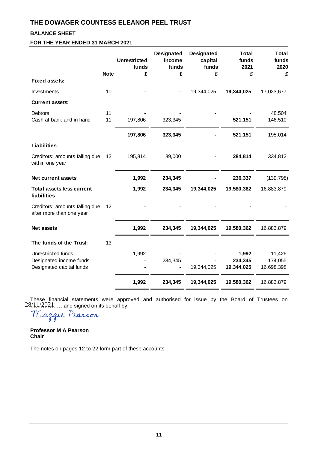### **BALANCE SHEET**

**FOR THE YEAR ENDED 31 MARCH 2021**

|                                                                           | <b>Note</b>       | <b>Unrestricted</b><br>funds<br>£ | <b>Designated</b><br>income<br>funds<br>£ | Designated<br>capital<br>funds<br>£ | <b>Total</b><br>funds<br>2021<br>£ | <b>Total</b><br>funds<br>2020<br>£ |
|---------------------------------------------------------------------------|-------------------|-----------------------------------|-------------------------------------------|-------------------------------------|------------------------------------|------------------------------------|
| <b>Fixed assets:</b>                                                      |                   |                                   |                                           |                                     |                                    |                                    |
| Investments                                                               | 10                |                                   |                                           | 19,344,025                          | 19,344,025                         | 17,023,677                         |
| <b>Current assets:</b>                                                    |                   |                                   |                                           |                                     |                                    |                                    |
| <b>Debtors</b><br>Cash at bank and in hand                                | 11<br>11          | 197,806                           | 323,345                                   |                                     | 521,151                            | 48,504<br>146,510                  |
|                                                                           |                   | 197,806                           | 323,345                                   |                                     | 521,151                            | 195,014                            |
| Liabilities:                                                              |                   |                                   |                                           |                                     |                                    |                                    |
| Creditors: amounts falling due<br>within one year                         | $12 \overline{ }$ | 195,814                           | 89,000                                    |                                     | 284,814                            | 334,812                            |
| <b>Net current assets</b>                                                 |                   | 1,992                             | 234,345                                   |                                     | 236,337                            | (139, 798)                         |
| <b>Total assets less current</b><br><b>liabilities</b>                    |                   | 1,992                             | 234,345                                   | 19,344,025                          | 19,580,362                         | 16,883,879                         |
| Creditors: amounts falling due<br>after more than one year                | 12                |                                   |                                           |                                     |                                    |                                    |
| <b>Net assets</b>                                                         |                   | 1,992                             | 234,345                                   | 19,344,025                          | 19,580,362                         | 16,883,879                         |
| The funds of the Trust:                                                   | 13                |                                   |                                           |                                     |                                    |                                    |
| Unrestricted funds<br>Designated income funds<br>Designated capital funds |                   | 1,992                             | 234,345                                   | 19,344,025                          | 1,992<br>234,345<br>19,344,025     | 11,426<br>174,055<br>16,698,398    |
|                                                                           |                   | 1,992                             | 234,345                                   | 19,344,025                          | 19,580,362                         | 16,883,879                         |

These financial statements were approved and authorised for issue by the Board of Trustees on  $28/\sqrt{11}/2021....$  and signed on its behalf by:

Maggie Pearson

**Professor M A Pearson Chair**

The notes on pages 12 to 22 form part of these accounts.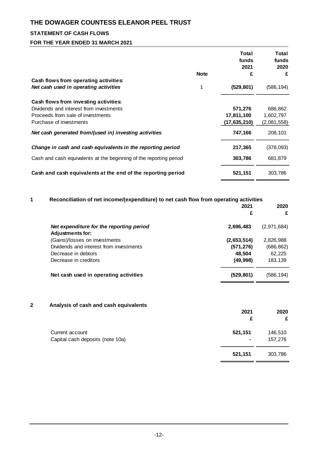## **STATEMENT OF CASH FLOWS**

### **FOR THE YEAR ENDED 31 MARCH 2021**

|                                                                    |             | Total<br>funds<br>2021 | Total<br>funds<br>2020 |
|--------------------------------------------------------------------|-------------|------------------------|------------------------|
|                                                                    | <b>Note</b> | £                      | £                      |
| Cash flows from operating activities:                              |             |                        |                        |
| Net cash used in operating activities                              | 1           | (529, 801)             | (586,194)              |
| Cash flows from investing activities:                              |             |                        |                        |
| Dividends and interest from investments                            |             | 571,276                | 686,862                |
| Proceeds from sale of investments                                  |             | 17,811,100             | 1,602,797              |
| Purchase of investments                                            |             | (17, 635, 210)         | (2,081,558)            |
| Net cash generated from/(used in) investing activities             |             | 747,166                | 208,101                |
| Change in cash and cash equivalents in the reporting period        |             | 217,365                | (378,093)              |
| Cash and cash equivalents at the beginning of the reporting period |             | 303,786                | 681.879                |
| Cash and cash equivalents at the end of the reporting period       |             | 521,151                | 303,786                |

| 1 | Reconciliation of net income/(expenditure) to net cash flow from operating activities |             |             |
|---|---------------------------------------------------------------------------------------|-------------|-------------|
|   |                                                                                       | 2021        | 2020        |
|   |                                                                                       | £           | £           |
|   | Net expenditure for the reporting period                                              | 2,696,483   | (2,971,684) |
|   | <b>Adjustments for:</b>                                                               |             |             |
|   | (Gains)/losses on investments                                                         | (2,653,514) | 2,826,988   |
|   | Dividends and interest from investments                                               | (571, 276)  | (686, 862)  |
|   | Decrease in debtors                                                                   | 48.504      | 62,225      |
|   | Decrease in creditors                                                                 | (49, 998)   | 183,139     |
|   | Net cash used in operating activities                                                 | (529, 801)  | (586,194)   |
|   |                                                                                       |             |             |

### **2 Analysis of cash and cash equivalents**

|                                                     | 2021<br>£                 | 2020<br>£          |
|-----------------------------------------------------|---------------------------|--------------------|
| Current account<br>Capital cash deposits (note 10a) | 521,151<br>$\blacksquare$ | 146,510<br>157,276 |
|                                                     | 521,151                   | 303,786            |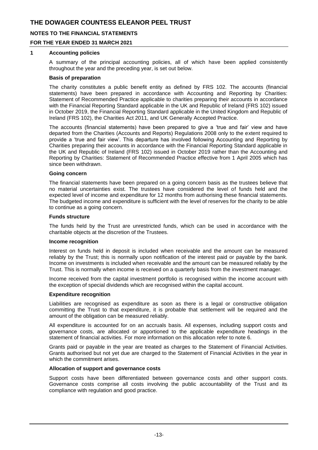### **NOTES TO THE FINANCIAL STATEMENTS**

### **FOR THE YEAR ENDED 31 MARCH 2021**

#### **1 Accounting policies**

A summary of the principal accounting policies, all of which have been applied consistently throughout the year and the preceding year, is set out below.

#### **Basis of preparation**

The charity constitutes a public benefit entity as defined by FRS 102. The accounts (financial statements) have been prepared in accordance with Accounting and Reporting by Charities: Statement of Recommended Practice applicable to charities preparing their accounts in accordance with the Financial Reporting Standard applicable in the UK and Republic of Ireland (FRS 102) issued in October 2019, the Financial Reporting Standard applicable in the United Kingdom and Republic of Ireland (FRS 102), the Charities Act 2011, and UK Generally Accepted Practice.

The accounts (financial statements) have been prepared to give a 'true and fair' view and have departed from the Charities (Accounts and Reports) Regulations 2008 only to the extent required to provide a 'true and fair view'. This departure has involved following Accounting and Reporting by Charities preparing their accounts in accordance with the Financial Reporting Standard applicable in the UK and Republic of Ireland (FRS 102) issued in October 2019 rather than the Accounting and Reporting by Charities: Statement of Recommended Practice effective from 1 April 2005 which has since been withdrawn.

#### **Going concern**

The financial statements have been prepared on a going concern basis as the trustees believe that no material uncertainties exist. The trustees have considered the level of funds held and the expected level of income and expenditure for 12 months from authorising these financial statements. The budgeted income and expenditure is sufficient with the level of reserves for the charity to be able to continue as a going concern.

#### **Funds structure**

The funds held by the Trust are unrestricted funds, which can be used in accordance with the charitable objects at the discretion of the Trustees.

#### **Income recognition**

Interest on funds held in deposit is included when receivable and the amount can be measured reliably by the Trust; this is normally upon notification of the interest paid or payable by the bank. Income on investments is included when receivable and the amount can be measured reliably by the Trust. This is normally when income is received on a quarterly basis from the investment manager.

Income received from the capital investment portfolio is recognised within the income account with the exception of special dividends which are recognised within the capital account.

### **Expenditure recognition**

Liabilities are recognised as expenditure as soon as there is a legal or constructive obligation committing the Trust to that expenditure, it is probable that settlement will be required and the amount of the obligation can be measured reliably.

All expenditure is accounted for on an accruals basis. All expenses, including support costs and governance costs, are allocated or apportioned to the applicable expenditure headings in the statement of financial activities. For more information on this allocation refer to note 6.

Grants paid or payable in the year are treated as charges to the Statement of Financial Activities. Grants authorised but not yet due are charged to the Statement of Financial Activities in the year in which the commitment arises

### **Allocation of support and governance costs**

Support costs have been differentiated between governance costs and other support costs. Governance costs comprise all costs involving the public accountability of the Trust and its compliance with regulation and good practice.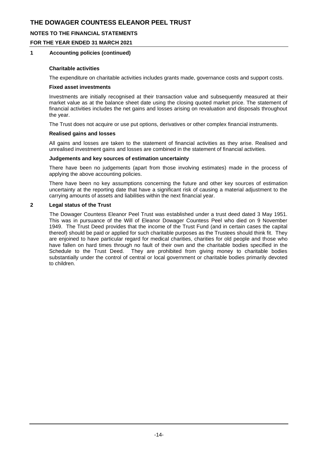### **NOTES TO THE FINANCIAL STATEMENTS**

### **FOR THE YEAR ENDED 31 MARCH 2021**

### **1 Accounting policies (continued)**

#### **Charitable activities**

The expenditure on charitable activities includes grants made, governance costs and support costs.

#### **Fixed asset investments**

Investments are initially recognised at their transaction value and subsequently measured at their market value as at the balance sheet date using the closing quoted market price. The statement of financial activities includes the net gains and losses arising on revaluation and disposals throughout the year.

The Trust does not acquire or use put options, derivatives or other complex financial instruments.

#### **Realised gains and losses**

All gains and losses are taken to the statement of financial activities as they arise. Realised and unrealised investment gains and losses are combined in the statement of financial activities.

#### **Judgements and key sources of estimation uncertainty**

There have been no judgements (apart from those involving estimates) made in the process of applying the above accounting policies.

There have been no key assumptions concerning the future and other key sources of estimation uncertainty at the reporting date that have a significant risk of causing a material adjustment to the carrying amounts of assets and liabilities within the next financial year.

### **2 Legal status of the Trust**

The Dowager Countess Eleanor Peel Trust was established under a trust deed dated 3 May 1951. This was in pursuance of the Will of Eleanor Dowager Countess Peel who died on 9 November 1949. The Trust Deed provides that the income of the Trust Fund (and in certain cases the capital thereof) should be paid or applied for such charitable purposes as the Trustees should think fit. They are enjoined to have particular regard for medical charities, charities for old people and those who have fallen on hard times through no fault of their own and the charitable bodies specified in the Schedule to the Trust Deed. They are prohibited from giving money to charitable bodies substantially under the control of central or local government or charitable bodies primarily devoted to children.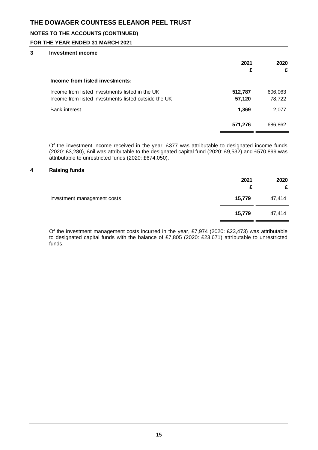### **NOTES TO THE ACCOUNTS (CONTINUED)**

### **FOR THE YEAR ENDED 31 MARCH 2021**

### **3 Investment income**

|                                                                                                         | 2021<br>£         | 2020<br>£         |
|---------------------------------------------------------------------------------------------------------|-------------------|-------------------|
| Income from listed investments:                                                                         |                   |                   |
| Income from listed investments listed in the UK<br>Income from listed investments listed outside the UK | 512,787<br>57,120 | 606,063<br>78,722 |
| <b>Bank interest</b>                                                                                    | 1,369             | 2,077             |
|                                                                                                         | 571,276           | 686,862           |

Of the investment income received in the year, £377 was attributable to designated income funds (2020: £3,280), £nil was attributable to the designated capital fund (2020: £9,532) and £570,899 was attributable to unrestricted funds (2020: £674,050).

### **4 Raising funds**

| Investment management costs | 2021<br>£ | 2020<br>£ |
|-----------------------------|-----------|-----------|
|                             | 15,779    | 47,414    |
|                             | 15,779    | 47,414    |

Of the investment management costs incurred in the year, £7,974 (2020: £23,473) was attributable to designated capital funds with the balance of £7,805 (2020: £23,671) attributable to unrestricted funds.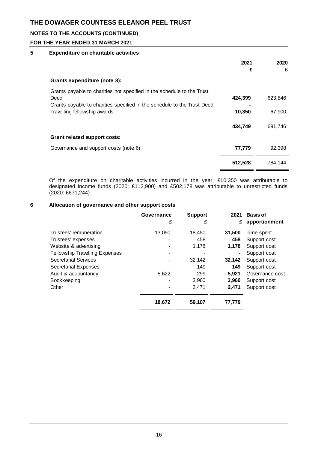### **NOTES TO THE ACCOUNTS (CONTINUED)**

### **FOR THE YEAR ENDED 31 MARCH 2021**

### **5 Expenditure on charitable activities**

|                                                                                                                                                                                           | 2021<br>£         | 2020<br>£         |
|-------------------------------------------------------------------------------------------------------------------------------------------------------------------------------------------|-------------------|-------------------|
| Grants expenditure (note 8):                                                                                                                                                              |                   |                   |
| Grants payable to charities not specified in the schedule to the Trust<br>Deed<br>Grants payable to charities specified in the schedule to the Trust Deed<br>Travelling fellowship awards | 424,399<br>10,350 | 623,846<br>67,900 |
|                                                                                                                                                                                           | 434,749           | 691,746           |
| Grant related support costs:                                                                                                                                                              |                   |                   |
| Governance and support costs (note 6)                                                                                                                                                     | 77,779            | 92.398            |
|                                                                                                                                                                                           | 512,528           | 784.144           |

Of the expenditure on charitable activities incurred in the year, £10,350 was attributable to designated income funds (2020: £112,900) and £502,178 was attributable to unrestricted funds (2020: £671,244).

### **6 Allocation of governance and other support costs**

|                                       | Governance<br>£ | <b>Support</b><br>£ | 2021<br>£ | <b>Basis of</b><br>apportionment |
|---------------------------------------|-----------------|---------------------|-----------|----------------------------------|
| Trustees' remuneration                | 13,050          | 18,450              | 31,500    | Time spent                       |
| Trustees' expenses                    |                 | 458                 | 458       | Support cost                     |
| Website & advertising                 |                 | 1,178               | 1.178     | Support cost                     |
| <b>Fellowship Travelling Expenses</b> |                 |                     | ۰         | Support cost                     |
| Secretarial Services                  |                 | 32,142              | 32,142    | Support cost                     |
| <b>Secretarial Expenses</b>           |                 | 149                 | 149       | Support cost                     |
| Audit & accountancy                   | 5,622           | 299                 | 5.921     | Governance cost                  |
| Bookkeeping                           |                 | 3,960               | 3.960     | Support cost                     |
| Other                                 |                 | 2,471               | 2.471     | Support cost                     |
|                                       | 18,672          | 59,107              | 77,779    |                                  |
|                                       |                 |                     |           |                                  |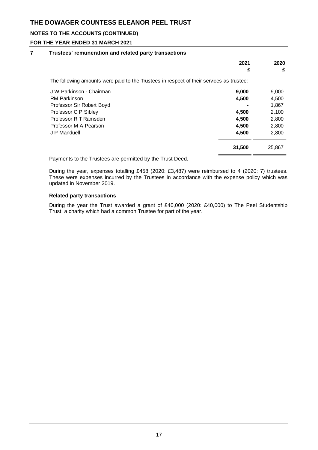## **NOTES TO THE ACCOUNTS (CONTINUED)**

### **FOR THE YEAR ENDED 31 MARCH 2021**

### **7 Trustees' remuneration and related party transactions**

|                                                                                          | 2021   | 2020   |
|------------------------------------------------------------------------------------------|--------|--------|
|                                                                                          | £      | £      |
| The following amounts were paid to the Trustees in respect of their services as trustee: |        |        |
| J W Parkinson - Chairman                                                                 | 9,000  | 9,000  |
| <b>RM Parkinson</b>                                                                      | 4,500  | 4,500  |
| Professor Sir Robert Boyd                                                                |        | 1,867  |
| Professor C P Sibley                                                                     | 4,500  | 2,100  |
| Professor R T Ramsden                                                                    | 4,500  | 2,800  |
| Professor M A Pearson                                                                    | 4,500  | 2,800  |
| J P Manduell                                                                             | 4,500  | 2,800  |
|                                                                                          | 31,500 | 25,867 |

Payments to the Trustees are permitted by the Trust Deed.

During the year, expenses totalling £458 (2020: £3,487) were reimbursed to 4 (2020: 7) trustees. These were expenses incurred by the Trustees in accordance with the expense policy which was updated in November 2019.

### **Related party transactions**

During the year the Trust awarded a grant of £40,000 (2020: £40,000) to The Peel Studentship Trust, a charity which had a common Trustee for part of the year.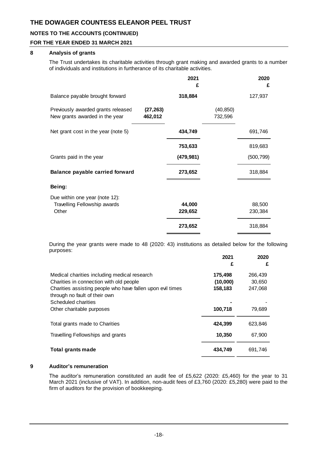### **NOTES TO THE ACCOUNTS (CONTINUED)**

### **FOR THE YEAR ENDED 31 MARCH 2021**

### **8 Analysis of grants**

The Trust undertakes its charitable activities through grant making and awarded grants to a number of individuals and institutions in furtherance of its charitable activities.

|                                                                      |                      | 2021<br>£  |                      | 2020<br>£  |
|----------------------------------------------------------------------|----------------------|------------|----------------------|------------|
| Balance payable brought forward                                      |                      | 318,884    |                      | 127,937    |
| Previously awarded grants released<br>New grants awarded in the year | (27, 263)<br>462,012 |            | (40, 850)<br>732,596 |            |
| Net grant cost in the year (note 5)                                  |                      | 434,749    |                      | 691,746    |
|                                                                      |                      | 753,633    |                      | 819,683    |
| Grants paid in the year                                              |                      | (479, 981) |                      | (500, 799) |
| Balance payable carried forward                                      |                      | 273,652    |                      | 318,884    |
| Being:                                                               |                      |            |                      |            |
| Due within one year (note 12):                                       |                      |            |                      |            |
| Travelling Fellowship awards                                         |                      | 44,000     |                      | 88,500     |
| Other                                                                |                      | 229,652    |                      | 230,384    |
|                                                                      |                      | 273,652    |                      | 318,884    |

During the year grants were made to 48 (2020: 43) institutions as detailed below for the following purposes:

|                                                            | 2021<br>£ | 2020<br>£ |
|------------------------------------------------------------|-----------|-----------|
| Medical charities including medical research               | 175,498   | 266,439   |
| Charities in connection with old people                    | (10,000)  | 30,650    |
| Charities assisting people who have fallen upon evil times | 158,183   | 247,068   |
| through no fault of their own                              |           |           |
| Scheduled charities                                        |           |           |
| Other charitable purposes                                  | 100,718   | 79,689    |
| Total grants made to Charities                             | 424.399   | 623.846   |
| Travelling Fellowships and grants                          | 10,350    | 67,900    |
| <b>Total grants made</b>                                   | 434,749   | 691,746   |

### **9 Auditor's remuneration**

The auditor's remuneration constituted an audit fee of £5,622 (2020: £5,460) for the year to 31 March 2021 (inclusive of VAT). In addition, non-audit fees of £3,760 (2020: £5,280) were paid to the firm of auditors for the provision of bookkeeping.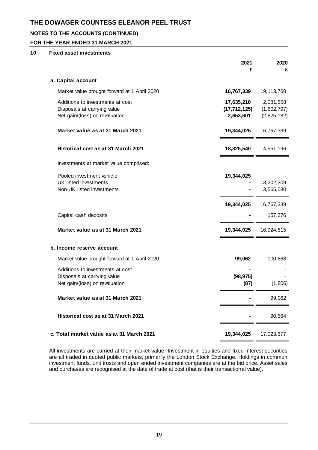## **NOTES TO THE ACCOUNTS (CONTINUED)**

### **FOR THE YEAR ENDED 31 MARCH 2021**

### **10 Fixed asset investments**

|                                                                                                   | 2021<br>£                                 | 2020<br>£                               |
|---------------------------------------------------------------------------------------------------|-------------------------------------------|-----------------------------------------|
| a. Capital account                                                                                |                                           |                                         |
| Market value brought forward at 1 April 2020                                                      | 16,767,339                                | 19,113,760                              |
| Additions to investments at cost<br>Disposals at carrying value<br>Net gain/(loss) on revaluation | 17,635,210<br>(17, 712, 125)<br>2,653,601 | 2,081,558<br>(1,602,797)<br>(2,825,182) |
| Market value as at 31 March 2021                                                                  | 19,344,025                                | 16,767,339                              |
| Historical cost as at 31 March 2021                                                               | 18,826,540                                | 14,551,196                              |
| Investments at market value comprised:                                                            |                                           |                                         |
| Pooled investment vehicle<br><b>UK listed investments</b><br>Non-UK listed investments            | 19,344,025                                | 13,202,309<br>3,565,030                 |
|                                                                                                   | 19,344,025                                | 16,767,339                              |
| Capital cash deposits                                                                             |                                           | 157,276                                 |
| Market value as at 31 March 2021                                                                  | 19,344,025                                | 16,924,615                              |
| b. Income reserve account                                                                         |                                           |                                         |
| Market value brought forward at 1 April 2020                                                      | 99,062                                    | 100,868                                 |
| Additions to investments at cost<br>Disposals at carrying value<br>Net gain/(loss) on revaluation | (98, 975)<br>(87)                         | (1,806)                                 |
| Market value as at 31 March 2021                                                                  |                                           | 99,062                                  |
| Historical cost as at 31 March 2021                                                               |                                           | 90,564                                  |
| c. Total market value as at 31 March 2021                                                         | 19,344,025                                | 17,023,677                              |

All investments are carried at their market value. Investment in equities and fixed interest securities are all traded in quoted public markets, primarily the London Stock Exchange. Holdings in common investment funds, unit trusts and open ended investment companies are at the bid price. Asset sales and purchases are recognised at the date of trade at cost (that is their transactional value).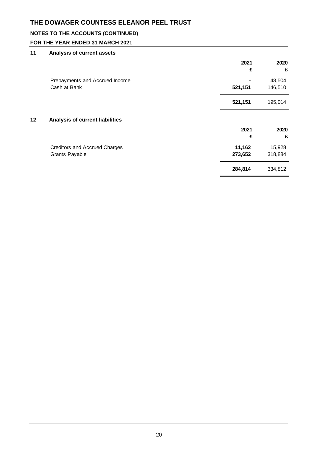## **NOTES TO THE ACCOUNTS (CONTINUED)**

## **FOR THE YEAR ENDED 31 MARCH 2021**

## **11 Analysis of current assets**

|    |                                                | 2021<br>£ | 2020<br>£         |
|----|------------------------------------------------|-----------|-------------------|
|    | Prepayments and Accrued Income<br>Cash at Bank | 521,151   | 48,504<br>146,510 |
|    |                                                | 521,151   | 195,014           |
| 12 | Analysis of current liabilities                |           |                   |
|    |                                                | 2021      | 2020              |
|    |                                                | £         | £                 |
|    | <b>Creditors and Accrued Charges</b>           | 11,162    | 15,928            |
|    | <b>Grants Payable</b>                          | 273,652   | 318,884           |
|    |                                                | 284,814   | 334,812           |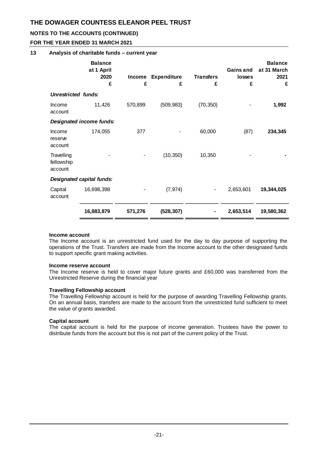### **NOTES TO THE ACCOUNTS (CONTINUED)**

### **FOR THE YEAR ENDED 31 MARCH 2021**

### **13 Analysis of charitable funds – current year**

|                                     | <b>Balance</b><br>at 1 April<br>2020<br>£ | <b>Income</b><br>£ | <b>Expenditure</b><br>£ | <b>Transfers</b><br>£ | Gains and<br>losses<br>£ | <b>Balance</b><br>at 31 March<br>2021<br>£ |
|-------------------------------------|-------------------------------------------|--------------------|-------------------------|-----------------------|--------------------------|--------------------------------------------|
| <b>Unrestricted funds:</b>          |                                           |                    |                         |                       |                          |                                            |
| Income<br>account                   | 11,426                                    | 570,899            | (509, 983)              | (70, 350)             |                          | 1,992                                      |
|                                     | Designated income funds:                  |                    |                         |                       |                          |                                            |
| Income<br>reserve<br>account        | 174,055                                   | 377                |                         | 60,000                | (87)                     | 234,345                                    |
| Travelling<br>fellowship<br>account |                                           |                    | (10, 350)               | 10,350                |                          |                                            |
|                                     | Designated capital funds:                 |                    |                         |                       |                          |                                            |
| Capital<br>account                  | 16,698,398                                |                    | (7, 974)                |                       | 2,653,601                | 19,344,025                                 |
|                                     | 16,883,879                                | 571,276            | (528, 307)              |                       | 2,653,514                | 19,580,362                                 |

#### **Income account**

The Income account is an unrestricted fund used for the day to day purpose of supporting the operations of the Trust. Transfers are made from the Income account to the other designated funds to support specific grant making activities.

#### **Income reserve account**

The Income reserve is held to cover major future grants and £60,000 was transferred from the Unrestricted Reserve during the financial year

### **Travelling Fellowship account**

The Travelling Fellowship account is held for the purpose of awarding Travelling Fellowship grants. On an annual basis, transfers are made to the account from the unrestricted fund sufficient to meet the value of grants awarded.

### **Capital account**

The capital account is held for the purpose of income generation. Trustees have the power to distribute funds from the account but this is not part of the current policy of the Trust.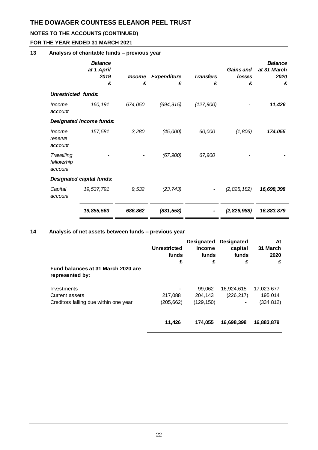## **NOTES TO THE ACCOUNTS (CONTINUED)**

## **FOR THE YEAR ENDED 31 MARCH 2021**

## **13 Analysis of charitable funds – previous year**

|                                     | <b>Balance</b><br>at 1 April<br>2019<br>£ | <i><b>Income</b></i><br>£ | <b>Expenditure</b><br>£ | <b>Transfers</b><br>£ | <b>Gains</b> and<br>losses<br>£ | <b>Balance</b><br>at 31 March<br>2020<br>£ |
|-------------------------------------|-------------------------------------------|---------------------------|-------------------------|-----------------------|---------------------------------|--------------------------------------------|
| <b>Unrestricted funds:</b>          |                                           |                           |                         |                       |                                 |                                            |
| Income<br>account                   | 160, 191                                  | 674,050                   | (694, 915)              | (127,900)             |                                 | 11,426                                     |
|                                     | Designated income funds:                  |                           |                         |                       |                                 |                                            |
| Income<br>reserve<br>account        | 157,581                                   | 3,280                     | (45,000)                | 60,000                | (1,806)                         | 174,055                                    |
| Travelling<br>fellowship<br>account |                                           |                           | (67, 900)               | 67,900                |                                 |                                            |
|                                     | Designated capital funds:                 |                           |                         |                       |                                 |                                            |
| Capital<br>account                  | 19,537,791                                | 9,532                     | (23, 743)               |                       | (2,825,182)                     | 16,698,398                                 |
|                                     | 19,855,563                                | 686,862                   | (831, 558)              |                       | (2,826,988)                     | 16,883,879                                 |

## **14 Analysis of net assets between funds – previous year**

|                                                       | <b>Unrestricted</b><br>funds<br>£ | <b>Designated</b><br>income<br>funds<br>£ | <b>Designated</b><br>capital<br>funds<br>£ | At<br>31 March<br>2020<br>£ |
|-------------------------------------------------------|-----------------------------------|-------------------------------------------|--------------------------------------------|-----------------------------|
| Fund balances at 31 March 2020 are<br>represented by: |                                   |                                           |                                            |                             |
| Investments                                           |                                   | 99,062                                    | 16,924,615                                 | 17,023,677                  |
| Current assets                                        | 217,088                           | 204.143                                   | (226, 217)                                 | 195,014                     |
| Creditors falling due within one year                 | (205,662)                         | (129, 150)                                |                                            | (334, 812)                  |
|                                                       | 11,426                            | 174.055                                   | 16,698,398                                 | 16,883,879                  |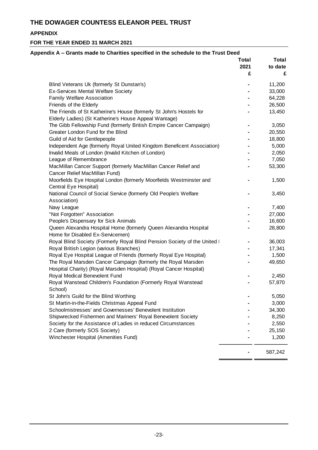## **APPENDIX**

| Blind Veterans Uk (formerly St Dunstan's)<br><b>Ex-Services Mental Welfare Society</b><br>Family Welfare Association<br>Friends of the Elderly<br>The Friends of St Katherine's House (formerly St John's Hostels for<br>Elderly Ladies) (St Katherine's House Appeal Wantage)<br>The Gibb Fellowship Fund (formerly British Empire Cancer Campaign) | £ | £<br>11,200<br>33,000<br>64,228 |
|------------------------------------------------------------------------------------------------------------------------------------------------------------------------------------------------------------------------------------------------------------------------------------------------------------------------------------------------------|---|---------------------------------|
|                                                                                                                                                                                                                                                                                                                                                      |   |                                 |
|                                                                                                                                                                                                                                                                                                                                                      |   |                                 |
|                                                                                                                                                                                                                                                                                                                                                      |   |                                 |
|                                                                                                                                                                                                                                                                                                                                                      |   |                                 |
|                                                                                                                                                                                                                                                                                                                                                      |   | 26,500                          |
|                                                                                                                                                                                                                                                                                                                                                      |   | 13,450                          |
|                                                                                                                                                                                                                                                                                                                                                      |   | 3,050                           |
| Greater London Fund for the Blind                                                                                                                                                                                                                                                                                                                    |   | 20,550                          |
| Guild of Aid for Gentlepeople                                                                                                                                                                                                                                                                                                                        |   | 18,800                          |
| Independent Age (formerly Royal United Kingdom Beneficent Association)                                                                                                                                                                                                                                                                               |   | 5,000                           |
| Invalid Meals of London (Invalid Kitchen of London)                                                                                                                                                                                                                                                                                                  |   | 2,050                           |
| League of Remembrance                                                                                                                                                                                                                                                                                                                                |   | 7,050                           |
| MacMillan Cancer Support (formerly MacMillan Cancer Relief and<br>Cancer Relief MacMillan Fund)                                                                                                                                                                                                                                                      |   | 53,300                          |
| Moorfields Eye Hospital London (formerly Moorfields Westminster and<br>Central Eye Hospital)                                                                                                                                                                                                                                                         |   | 1,500                           |
| National Council of Social Service (formerly Old People's Welfare<br>Association)                                                                                                                                                                                                                                                                    |   | 3,450                           |
| Navy League                                                                                                                                                                                                                                                                                                                                          |   | 7,400                           |
| "Not Forgotten" Association                                                                                                                                                                                                                                                                                                                          |   | 27,000                          |
| People's Dispensary for Sick Animals                                                                                                                                                                                                                                                                                                                 |   | 16,600                          |
| Queen Alexandra Hospital Home (formerly Queen Alexandra Hospital<br>Home for Disabled Ex-Servicemen)                                                                                                                                                                                                                                                 |   | 28,800                          |
| Royal Blind Society (Formerly Royal Blind Pension Society of the United I                                                                                                                                                                                                                                                                            |   | 36,003                          |
| Royal British Legion (various Branches)                                                                                                                                                                                                                                                                                                              |   | 17,341                          |
| Royal Eye Hospital League of Friends (formerly Royal Eye Hospital)                                                                                                                                                                                                                                                                                   |   | 1,500                           |
| The Royal Marsden Cancer Campaign (formerly the Royal Marsden<br>Hospital Charity) (Royal Marsden Hospital) (Royal Cancer Hospital)                                                                                                                                                                                                                  |   | 49,650                          |
| Royal Medical Benevolent Fund                                                                                                                                                                                                                                                                                                                        |   | 2,450                           |
| Royal Wanstead Children's Foundation (Formerly Royal Wanstead<br>School)                                                                                                                                                                                                                                                                             |   | 57,870                          |
| St John's Guild for the Blind Worthing                                                                                                                                                                                                                                                                                                               |   | 5,050                           |
| St Martin-in-the-Fields Christmas Appeal Fund                                                                                                                                                                                                                                                                                                        |   | 3,000                           |
| Schoolmistresses' and Governesses' Benevolent Institution                                                                                                                                                                                                                                                                                            |   | 34,300                          |
| Shipwrecked Fishermen and Mariners' Royal Benevolent Society                                                                                                                                                                                                                                                                                         |   | 8,250                           |
| Society for the Assistance of Ladies in reduced Circumstances                                                                                                                                                                                                                                                                                        |   | 2,550                           |
| 2 Care (formerly SOS Society)                                                                                                                                                                                                                                                                                                                        |   | 25,150                          |
| Winchester Hospital (Amenities Fund)                                                                                                                                                                                                                                                                                                                 |   | 1,200                           |
|                                                                                                                                                                                                                                                                                                                                                      |   | 587,242                         |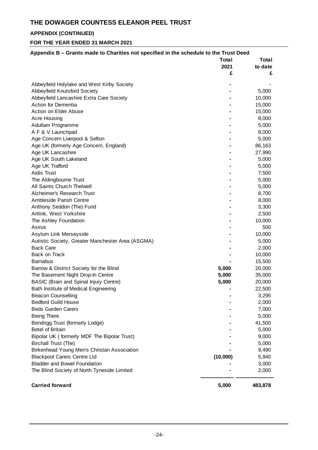## **APPENDIX (CONTINUED)**

| Appendix B – Grants made to Charities not specified in the schedule to the Trust Deed | Total    | Total          |
|---------------------------------------------------------------------------------------|----------|----------------|
|                                                                                       | 2021     | to date        |
|                                                                                       | £        | £              |
|                                                                                       |          |                |
| Abbeyfield Holylake and West Kirby Society                                            |          |                |
| Abbeyfield Knutsford Society                                                          |          | 5,000          |
| Abbeyfield Lancashire Extra Care Society                                              |          | 10,000         |
| Action for Dementia                                                                   |          | 15,000         |
| Action on Elder Abuse                                                                 |          | 15,000         |
| <b>Acre Housing</b>                                                                   |          | 8,000          |
| Adullam Programme                                                                     |          | 5,000          |
| A F & V Launchpad                                                                     |          | 8,000          |
| Age Concern Liverpool & Sefton                                                        |          | 5,000          |
| Age UK (formerly Age Concern, England)                                                |          | 86,163         |
| Age UK Lancashire                                                                     |          | 27,990         |
| Age UK South Lakeland                                                                 |          | 5,000          |
| Age UK Trafford                                                                       |          | 5,000          |
| Aidis Trust                                                                           |          | 7,500          |
| The Aldingbourne Trust                                                                |          | 5,000          |
| All Saints Church Thelwell                                                            |          | 5,000          |
| Alzheimer's Research Trust                                                            |          | 8,700          |
| Ambleside Parish Centre                                                               |          | 8,000          |
| Anthony Seddon (The) Fund                                                             |          | 3,300          |
| Artlink, West Yorkshire                                                               |          | 2,500          |
| The Ashley Foundation                                                                 |          | 10,000         |
| Asirus                                                                                |          | 500            |
| Asylum Link Merseyside                                                                |          | 10,000         |
| Autistic Society, Greater Manchester Area (ASGMA)                                     |          | 5,000          |
| <b>Back Care</b>                                                                      |          | 2,000          |
| Back on Track                                                                         |          | 10,000         |
| <b>Barnabus</b>                                                                       |          | 15,500         |
| Barrow & District Society for the Blind                                               | 5,000    | 20,000         |
| The Basement Night Drop-In Centre                                                     | 5,000    | 35,000         |
| <b>BASIC (Brain and Spinal Injury Centre)</b>                                         | 5,000    | 20,000         |
| Bath Institute of Medical Engineering                                                 |          | 22,500         |
| <b>Beacon Counselling</b>                                                             |          | 3,295          |
| <b>Bedford Guild House</b>                                                            |          | 2,000          |
| <b>Beds Garden Carers</b>                                                             |          | 7,000          |
| <b>Being There</b>                                                                    |          | 5,000          |
| Bendrigg Trust (formerly Lodge)                                                       |          | 41,500         |
|                                                                                       |          |                |
| <b>Betel of Britain</b>                                                               |          |                |
|                                                                                       |          | 5,000          |
| Bipolar UK (formerly MDF The Bipolar Trust)                                           |          | 9,000          |
| <b>Birchall Trust (The)</b>                                                           |          | 5,000          |
| Birkenhead Young Men's Christan Association                                           |          | 9,490          |
| <b>Blackpool Carers Centre Ltd</b><br><b>Bladder and Bowel Foundation</b>             | (10,000) | 5,940<br>3,000 |
| The Blind Society of North Tyneside Limited                                           |          | 2,000          |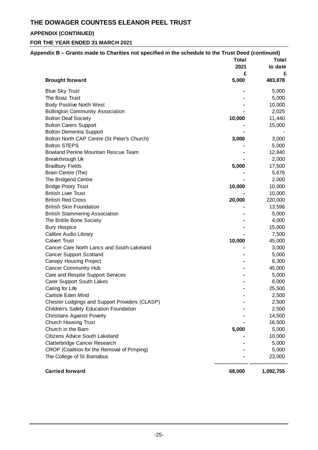## **APPENDIX (CONTINUED)**

| Appendix B – Grants made to Charities not specified in the schedule to the Trust Deed (continued) |              |              |
|---------------------------------------------------------------------------------------------------|--------------|--------------|
|                                                                                                   | <b>Total</b> | <b>Total</b> |
|                                                                                                   | 2021         | to date      |
|                                                                                                   | £<br>5,000   | £            |
| <b>Brought forward</b>                                                                            |              | 483,878      |
| <b>Blue Sky Trust</b>                                                                             |              | 5,000        |
| The Boaz Trust                                                                                    |              | 5,000        |
| <b>Body Positive North West</b>                                                                   |              | 10,000       |
| <b>Bollington Community Association</b>                                                           |              | 2,025        |
| <b>Bolton Deaf Society</b>                                                                        | 10,000       | 11,440       |
| <b>Bolton Carers Support</b>                                                                      |              | 15,000       |
| <b>Bolton Dementia Support</b>                                                                    |              |              |
| Bolton North CAP Centre (St Peter's Church)                                                       | 3,000        | 3,000        |
| <b>Bolton STEPS</b>                                                                               |              | 5,000        |
| <b>Bowland Penine Mountain Rescue Team</b>                                                        |              | 12,840       |
| Breakthrough Uk                                                                                   |              | 2,000        |
| <b>Bradbury Fields</b>                                                                            | 5,000        | 17,500       |
| Brain Centre (The)                                                                                |              | 5,676        |
| The Bridgend Centre                                                                               |              | 2,000        |
| <b>Bridge Priory Trust</b>                                                                        | 10,000       | 10,000       |
| <b>British Liver Trust</b>                                                                        |              | 10,000       |
| <b>British Red Cross</b>                                                                          | 20,000       | 220,000      |
| <b>British Skin Foundation</b>                                                                    |              | 13,596       |
| <b>British Stammering Association</b>                                                             |              | 5,000        |
| The Brittle Bone Society                                                                          |              | 4,000        |
| <b>Bury Hospice</b>                                                                               |              | 15,000       |
| Calibre Audio Library                                                                             |              | 7,500        |
| <b>Calvert Trust</b>                                                                              | 10,000       | 45,000       |
| Cancer Care North Lancs and South Lakeland                                                        |              | 3,000        |
| <b>Cancer Support Scotland</b>                                                                    |              | 5,000        |
| Canopy Housing Project                                                                            |              | 6,300        |
| <b>Cancer Community Hub</b>                                                                       |              | 45,000       |
| Care and Respite Support Services                                                                 |              | 5,000        |
| Carer Support South Lakes                                                                         |              | 6,000        |
| Caring for Life                                                                                   |              | 25,500       |
| Carlisle Eden Mind                                                                                |              | 2,500        |
| Chester Lodgings and Support Providers (CLASP)                                                    |              | 2,500        |
| Children's Safety Education Foundation                                                            |              | 2,500        |
| <b>Christians Against Poverty</b>                                                                 |              | 14,500       |
| <b>Church Housing Trust</b>                                                                       |              | 16,500       |
| Church in the Barn                                                                                | 5,000        | 5,000        |
| <b>Citizens Advice South Lakeland</b>                                                             |              | 10,000       |
| Clatterbridge Cancer Research                                                                     |              | 5,000        |
| CROP (Coalition for the Removal of Pimping)                                                       |              | 5,000        |
| The College of St Barnabus                                                                        |              | 23,000       |
| <b>Carried forward</b>                                                                            | 68,000       | 1,092,755    |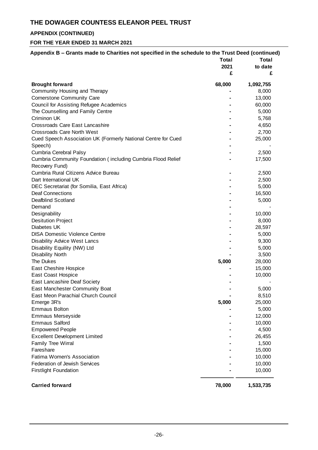## **APPENDIX (CONTINUED)**

| Appendix B – Grants made to Charities not specified in the schedule to the Trust Deed (continued) |              |              |  |
|---------------------------------------------------------------------------------------------------|--------------|--------------|--|
|                                                                                                   | <b>Total</b> | <b>Total</b> |  |
|                                                                                                   | 2021         | to date      |  |
|                                                                                                   | £            | £            |  |
| <b>Brought forward</b>                                                                            | 68,000       | 1,092,755    |  |
| Community Housing and Therapy                                                                     |              | 8,000        |  |
| Cornerstone Community Care                                                                        |              | 13,000       |  |
| <b>Council for Assisting Refugee Academics</b>                                                    |              | 60,000       |  |
| The Counselling and Family Centre                                                                 |              | 5,000        |  |
| Criminon UK                                                                                       |              | 5,768        |  |
| Crossroads Care East Lancashire                                                                   |              | 4,650        |  |
| <b>Crossroads Care North West</b>                                                                 |              | 2,700        |  |
| Cued Speech Association UK (Formerly National Centre for Cued                                     |              | 25,000       |  |
| Speech)                                                                                           |              |              |  |
| Cumbria Cerebral Palsy                                                                            |              | 2,500        |  |
| Cumbria Community Foundation (including Cumbria Flood Relief                                      |              | 17,500       |  |
| Recovery Fund)                                                                                    |              |              |  |
| Cumbria Rural Citizens Advice Bureau                                                              |              | 2,500        |  |
| Dart International UK                                                                             |              | 2,500        |  |
| DEC Secretariat (for Somilia, East Africa)                                                        |              | 5,000        |  |
| <b>Deaf Connections</b>                                                                           |              | 16,500       |  |
| Deafblind Scotland                                                                                |              | 5,000        |  |
| Demand                                                                                            |              |              |  |
| Designability                                                                                     |              | 10,000       |  |
| <b>Desitution Project</b>                                                                         |              | 8,000        |  |
| Diabetes UK                                                                                       |              | 28,597       |  |
| <b>DISA Domestic Violence Centre</b>                                                              |              | 5,000        |  |
| <b>Disability Advice West Lancs</b>                                                               |              | 9,300        |  |
| Disability Equility (NW) Ltd                                                                      |              | 5,000        |  |
| <b>Disability North</b>                                                                           |              | 3,500        |  |
| The Dukes                                                                                         | 5,000        | 28,000       |  |
| East Cheshire Hospice                                                                             |              | 15,000       |  |
| East Coast Hospice                                                                                |              | 10,000       |  |
| East Lancashire Deaf Society                                                                      |              |              |  |
| East Manchester Community Boat                                                                    |              | 5,000        |  |
| East Meon Parachial Church Council                                                                |              | 8,510        |  |
| Emerge 3R's                                                                                       | 5,000        | 25,000       |  |
| <b>Emmaus Bolton</b>                                                                              |              | 5,000        |  |
| Emmaus Merseyside                                                                                 |              | 12,000       |  |
| <b>Emmaus Salford</b>                                                                             |              | 10,000       |  |
| <b>Empowered People</b>                                                                           |              | 4,500        |  |
| <b>Excellent Development Limited</b>                                                              |              | 26,455       |  |
| <b>Family Tree Wirral</b>                                                                         |              | 1,500        |  |
| Fareshare                                                                                         |              | 15,000       |  |
| Fatima Women's Association                                                                        |              | 10,000       |  |
| Federation of Jewish Services                                                                     |              | 10,000       |  |
| <b>Firstlight Foundation</b>                                                                      |              | 10,000       |  |
|                                                                                                   |              |              |  |
| <b>Carried forward</b>                                                                            | 78,000       | 1,533,735    |  |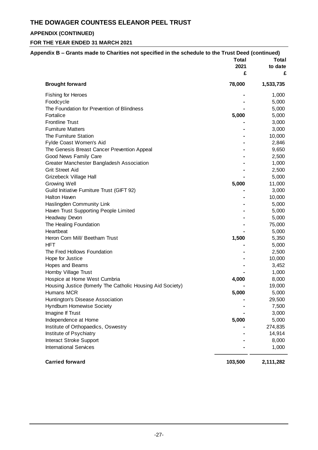## **APPENDIX (CONTINUED)**

|                                                            | <b>Total</b> | Total     |
|------------------------------------------------------------|--------------|-----------|
|                                                            | 2021         | to date   |
|                                                            | £            |           |
| <b>Brought forward</b>                                     | 78,000       | 1,533,735 |
| <b>Fishing for Heroes</b>                                  |              | 1,000     |
| Foodcycle                                                  |              | 5,000     |
| The Foundation for Prevention of Blindness                 |              | 5,000     |
| Fortalice                                                  | 5,000        | 5,000     |
| <b>Frontline Trust</b>                                     |              | 3,000     |
| <b>Furniture Matters</b>                                   |              | 3,000     |
| The Furniture Station                                      |              | 10,000    |
| Fylde Coast Women's Aid                                    |              | 2,846     |
| The Genesis Breast Cancer Prevention Appeal                |              | 9,650     |
| Good News Family Care                                      |              | 2,500     |
| Greater Manchester Bangladesh Association                  |              | 1,000     |
| <b>Grit Street Aid</b>                                     |              | 2,500     |
| Grizebeck Village Hall                                     |              | 5,000     |
| Growing Well                                               | 5,000        | 11,000    |
| Guild Initiative Furniture Trust (GIFT 92)                 |              | 3,000     |
| <b>Halton Haven</b>                                        |              | 10,000    |
| Haslingden Community Link                                  |              | 5,000     |
| Haven Trust Supporting People Limited                      |              | 5,000     |
| Headway Devon                                              |              | 5,000     |
| The Healing Foundation                                     |              | 75,000    |
| Heartbeat                                                  |              | 5,000     |
| Heron Corn Mill/ Beetham Trust                             | 1,500        | 5,350     |
| <b>HFT</b>                                                 |              | 5,000     |
| The Fred Hollows Foundation                                |              | 2,500     |
| Hope for Justice                                           |              | 10,000    |
| Hopes and Beams                                            |              | 3,452     |
| Hornby Village Trust                                       |              | 1,000     |
| Hospice at Home West Cumbria                               | 4,000        | 8,000     |
| Housing Justice (fomerly The Catholic Housing Aid Society) |              | 19,000    |
| Humans MCR                                                 | 5,000        | 5,000     |
| Huntington's Disease Association                           |              | 29,500    |
| Hyndburn Homewise Society                                  |              | 7,500     |
| Imagine If Trust                                           |              | 3,000     |
| Independence at Home                                       | 5,000        | 5,000     |
| Institute of Orthopaedics, Oswestry                        |              | 274,835   |
| Institute of Psychiatry                                    |              | 14,914    |
| Interact Stroke Support                                    |              | 8,000     |
| <b>International Services</b>                              |              | 1,000     |
| <b>Carried forward</b>                                     | 103,500      | 2,111,282 |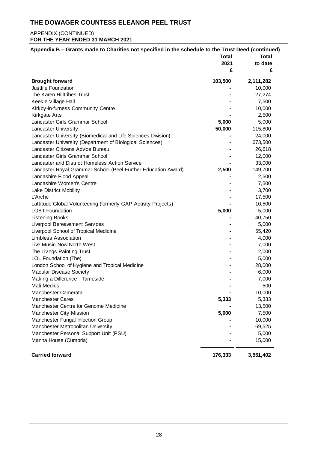### APPENDIX (CONTINUED) **FOR THE YEAR ENDED 31 MARCH 2021**

| Appendix B – Grants made to Charities not specified in the schedule to the Trust Deed (continued) |              |              |
|---------------------------------------------------------------------------------------------------|--------------|--------------|
|                                                                                                   | <b>Total</b> | <b>Total</b> |
|                                                                                                   | 2021         | to date      |
|                                                                                                   | £            | £            |
| <b>Brought forward</b>                                                                            | 103,500      | 2,111,282    |
| Justlife Foundation                                                                               |              | 10,000       |
| The Karen Hilltribes Trust                                                                        |              | 27,274       |
| Keekle Village Hall                                                                               |              | 7,500        |
| Kirkby-in-furness Community Centre                                                                |              | 10,000       |
| Kirkgate Arts                                                                                     |              | 2,500        |
| Lancaster Girls Grammar School                                                                    | 5,000        | 5,000        |
| Lancaster University                                                                              | 50,000       | 115,800      |
| Lancaster University (Biomedical and Life Sciences Division)                                      |              | 24,000       |
| Lancaster University (Department of Biological Sciences)                                          |              | 673,500      |
| Lancaster Citizens Advice Bureau                                                                  |              | 26,618       |
| Lancaster Girls Grammar School                                                                    |              | 12,000       |
| Lancaster and District Homeless Action Service                                                    |              | 33,000       |
| Lancaster Royal Grammar School (Peel Further Education Award)                                     | 2,500        | 149,700      |
| Lancashire Flood Appeal                                                                           |              | 2,500        |
| Lancashire Women's Centre                                                                         |              | 7,500        |
| Lake District Mobility                                                                            |              | 3,700        |
| <b>L'Arche</b>                                                                                    |              | 17,500       |
| Lattitude Global Volunteering (formerly GAP Activity Projects)                                    |              | 10,500       |
| <b>LGBT Foundation</b>                                                                            | 5,000        | 5,000        |
| <b>Listening Books</b>                                                                            |              | 40,750       |
| Liverpool Bereavement Services                                                                    |              | 5,000        |
| Liverpool School of Tropical Medicine                                                             |              | 55,420       |
| <b>Limbless Association</b>                                                                       |              | 4,000        |
| Live Music Now North West                                                                         |              | 7,000        |
| The Livings Painting Trust                                                                        |              | 2,000        |
| LOL Foundation (The)                                                                              |              | 5,000        |
| London School of Hygiene and Tropical Medicine                                                    |              | 28,000       |
| <b>Macular Disease Society</b>                                                                    |              | 6,000        |
| Making a Difference - Tameside                                                                    |              | 7,000        |
| Mali Medics                                                                                       |              | 500          |
| Manchester Camerata                                                                               |              | 10,000       |
| <b>Manchester Cares</b>                                                                           | 5,333        | 5,333        |
| Manchester Centre for Genome Medicine                                                             |              | 13,500       |
|                                                                                                   |              |              |
| Manchester City Mission                                                                           | 5,000        | 7,500        |
| Manchester Fungal Infection Group                                                                 |              | 10,000       |
| Manchester Metropolitan University                                                                |              | 69,525       |
| Manchester Personal Support Unit (PSU)                                                            |              | 5,000        |
| Manna House (Cumbria)                                                                             |              | 15,000       |
| <b>Carried forward</b>                                                                            | 176,333      | 3,551,402    |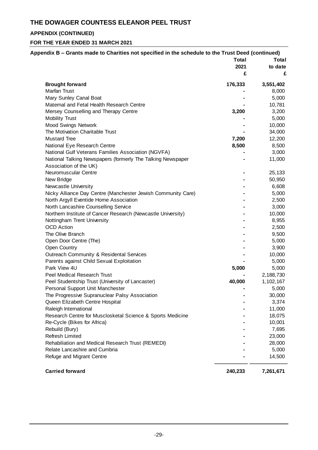## **APPENDIX (CONTINUED)**

| Appendix B – Grants made to Charities not specified in the schedule to the Trust Deed (continued) |              |                 |
|---------------------------------------------------------------------------------------------------|--------------|-----------------|
|                                                                                                   | <b>Total</b> | <b>Total</b>    |
|                                                                                                   | 2021         | to date         |
|                                                                                                   | £            | £               |
| <b>Brought forward</b>                                                                            | 176,333      | 3,551,402       |
| Marfan Trust                                                                                      |              | 8,000           |
| Mary Sunley Canal Boat                                                                            |              | 5,000           |
| Maternal and Fetal Health Research Centre                                                         |              | 10,781          |
| Mersey Counselling and Therapy Centre                                                             | 3,200        | 3,200           |
| <b>Mobility Trust</b>                                                                             |              | 5,000           |
| <b>Mood Swings Network</b>                                                                        |              | 10,000          |
| The Motivation Charitable Trust                                                                   |              | 34,000          |
| <b>Mustard Tree</b>                                                                               | 7,200        | 12,200          |
| National Eye Research Centre                                                                      | 8,500        | 8,500           |
| National Gulf Veterans Families Association (NGVFA)                                               |              | 3,000           |
| National Talking Newspapers (formerly The Talking Newspaper                                       |              | 11,000          |
| Association of the UK)                                                                            |              |                 |
| Neuromuscular Centre                                                                              |              | 25,133          |
| New Bridge                                                                                        |              | 50,950          |
| Newcastle University                                                                              |              | 6,608           |
| Nicky Alliance Day Centre (Manchester Jewish Community Care)                                      |              | 5,000           |
| North Argyll Eventide Home Association                                                            |              | 2,500           |
| North Lancashire Counselling Service                                                              |              | 3,000           |
| Northern Institute of Cancer Research (Newcastle University)                                      |              | 10,000          |
| Nottingham Trent University                                                                       |              | 8,955           |
| <b>OCD</b> Action                                                                                 |              | 2,500           |
| The Olive Branch                                                                                  |              | 9,500           |
| Open Door Centre (The)                                                                            |              | 5,000           |
| <b>Open Country</b>                                                                               |              | 3,900           |
| Outreach Community & Residental Services                                                          |              | 10,000          |
| Parents against Child Sexual Exploitation                                                         |              | 5,000           |
| Park View 4U                                                                                      | 5,000        | 5,000           |
| Peel Medical Research Trust                                                                       |              | 2,188,730       |
| Peel Studentship Trust (University of Lancaster)                                                  | 40,000       | 1,102,167       |
| Personal Support Unit Manchester                                                                  |              | 5,000           |
| The Progressive Supranuclear Palsy Association                                                    |              | 30,000          |
| Queen Elizabeth Centre Hospital                                                                   |              | 3,374           |
| Raleigh International                                                                             |              | 11,000          |
| Research Centre for Musclosketal Science & Sports Medicine                                        |              | 18,075          |
| Re-Cycle (Bikes for Africa)                                                                       |              | 10,001          |
| Rebuild (Bury)                                                                                    |              | 7,695           |
| <b>Refresh Limited</b>                                                                            |              | 23,000          |
| Rehabiliation and Medical Research Trust (REMEDI)                                                 |              | 28,000          |
| Relate Lancashire and Cumbria                                                                     |              |                 |
|                                                                                                   |              | 5,000<br>14,500 |
| Refuge and Migrant Centre                                                                         |              |                 |
| <b>Carried forward</b>                                                                            | 240,233      | 7,261,671       |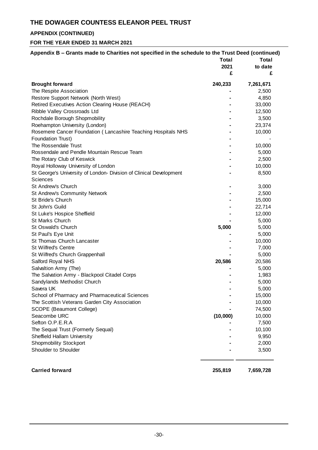## **APPENDIX (CONTINUED)**

## **FOR THE YEAR ENDED 31 MARCH 2021**

| Appendix B - Grants made to Charities not specified in the schedule to the Trust Deed (continued) |              |                              |  |
|---------------------------------------------------------------------------------------------------|--------------|------------------------------|--|
|                                                                                                   | <b>Total</b> | <b>Total</b><br>to date<br>£ |  |
|                                                                                                   | 2021<br>£    |                              |  |
|                                                                                                   |              |                              |  |
| <b>Brought forward</b>                                                                            | 240,233      | 7,261,671                    |  |
| The Respite Association                                                                           |              | 2,500                        |  |
| Restore Support Network (North West)                                                              |              | 4,850                        |  |
| Retired Executives Action Clearing House (REACH)                                                  |              | 33,000                       |  |
| Ribble Valley Crossroads Ltd                                                                      |              | 12,500                       |  |
| Rochdale Borough Shopmobility                                                                     |              | 3,500                        |  |
| Roehampton University (London)                                                                    |              | 23,374                       |  |
| Rosemere Cancer Foundation (Lancashire Teaching Hospitals NHS                                     |              | 10,000                       |  |
| Foundation Trust)                                                                                 |              |                              |  |
| The Rossendale Trust                                                                              |              | 10,000                       |  |
| Rossendale and Pendle Mountain Rescue Team                                                        |              | 5,000                        |  |
| The Rotary Club of Keswick                                                                        |              | 2,500                        |  |
| Royal Holloway University of London                                                               |              | 10,000                       |  |
| St George's University of London- Division of Clinical Development                                |              | 8,500                        |  |
| Sciences                                                                                          |              |                              |  |
| St Andrew's Church                                                                                |              | 3,000                        |  |
| St Andrew's Community Network                                                                     |              | 2,500                        |  |
| St Bride's Church                                                                                 |              | 15,000                       |  |
| St John's Guild                                                                                   |              | 22,714                       |  |
| St Luke's Hospice Sheffield                                                                       |              | 12,000                       |  |
| <b>St Marks Church</b>                                                                            |              | 5,000                        |  |
| St Oswald's Church                                                                                | 5,000        | 5,000                        |  |
| St Paul's Eye Unit                                                                                |              | 5,000                        |  |
| St Thomas Church Lancaster                                                                        |              | 10,000                       |  |
| <b>St Wilfred's Centre</b>                                                                        |              | 7,000                        |  |
| St Wilfred's Church Grappenhall                                                                   |              | 5,000                        |  |
| Salford Royal NHS                                                                                 | 20,586       | 20,586                       |  |
| Salvaltion Army (The)                                                                             |              | 5,000                        |  |
| The Salvation Army - Blackpool Citadel Corps                                                      |              | 1,983                        |  |
| Sandylands Methodist Church                                                                       |              | 5,000                        |  |
| Savera UK                                                                                         |              | 5,000                        |  |
| School of Pharmacy and Pharmaceutical Sciences                                                    |              | 15,000                       |  |
| The Scottish Veterans Garden City Association                                                     |              | 10,000                       |  |
| SCOPE (Beaumont College)                                                                          |              | 74,500                       |  |
| Seacombe URC                                                                                      | (10,000)     | 10,000                       |  |
| Sefton O.P.E.R.A                                                                                  |              | 7,500                        |  |
| The Sequal Trust (Formerly Sequal)                                                                |              | 10,100                       |  |
| Sheffield Hallam University                                                                       |              | 9,950                        |  |
| <b>Shopmobility Stockport</b>                                                                     |              | 2,000                        |  |
| Shoulder to Shoulder                                                                              |              | 3,500                        |  |
|                                                                                                   |              |                              |  |
|                                                                                                   |              |                              |  |

**Carried forward 255,819 7,659,728**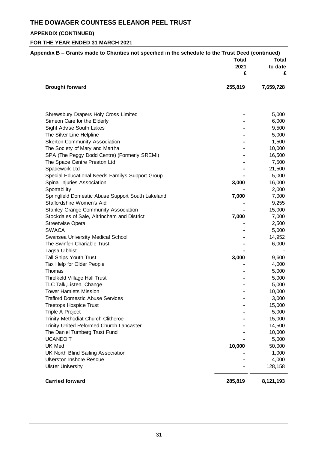## **APPENDIX (CONTINUED)**

| Appendix B – Grants made to Charities not specified in the schedule to the Trust Deed (continued) |              |           |
|---------------------------------------------------------------------------------------------------|--------------|-----------|
|                                                                                                   | <b>Total</b> | Total     |
|                                                                                                   | 2021         | to date   |
|                                                                                                   | £            | £         |
| <b>Brought forward</b>                                                                            | 255,819      | 7,659,728 |
|                                                                                                   |              |           |
| Shrewsbury Drapers Holy Cross Limited                                                             |              | 5,000     |
| Simeon Care for the Elderly                                                                       |              | 6,000     |
| Sight Advise South Lakes                                                                          |              | 9,500     |
| The Silver Line Helpline                                                                          |              | 5,000     |
| <b>Skerton Community Association</b>                                                              |              | 1,500     |
| The Society of Mary and Martha                                                                    |              | 10,000    |
| SPA (The Peggy Dodd Centre) (Formerly SREMI)                                                      |              | 16,500    |
| The Space Centre Preston Ltd                                                                      |              | 7,500     |
| Spadework Ltd                                                                                     |              | 21,500    |
| Special Educational Needs Familys Support Group                                                   |              | 5,000     |
| Spinal Injuries Association                                                                       | 3,000        | 16,000    |
| Sportability                                                                                      |              | 2,000     |
| Springfield Domestic Abuse Support South Lakeland                                                 | 7,000        | 7,000     |
| Staffordshire Women's Aid                                                                         |              | 9,255     |
| <b>Stanley Grange Community Association</b>                                                       |              | 15,000    |
| Stockdales of Sale, Altrincham and District                                                       | 7,000        | 7,000     |
| <b>Streetwise Opera</b>                                                                           |              | 2,500     |
| <b>SWACA</b>                                                                                      |              | 5,000     |
| Swansea University Medical School                                                                 |              | 14,952    |
| The Swinfen Chariable Trust                                                                       |              | 6,000     |
| Tagsa Uibhist                                                                                     |              |           |
| Tall Ships Youth Trust                                                                            | 3,000        | 9,600     |
| Tax Help for Older People                                                                         |              | 4,000     |
| Thomas                                                                                            |              | 5,000     |
| Threlkeld Village Hall Trust                                                                      |              | 5,000     |
| TLC Talk, Listen, Change                                                                          |              | 5,000     |
| <b>Tower Hamlets Mission</b>                                                                      |              | 10,000    |
| <b>Trafford Domestic Abuse Services</b>                                                           |              | 3,000     |
| <b>Treetops Hospice Trust</b>                                                                     |              | 15,000    |
| Triple A Project                                                                                  |              | 5,000     |
| Trinity Methodiat Church Clitheroe                                                                |              | 15,000    |
| Trinity United Reformed Church Lancaster                                                          |              | 14,500    |
| The Daniel Turnberg Trust Fund                                                                    |              | 10,000    |
| <b>UCANDOIT</b>                                                                                   |              | 5,000     |
| UK Med                                                                                            | 10,000       | 50,000    |
| UK North Blind Sailing Association                                                                |              | 1,000     |
|                                                                                                   |              |           |
| <b>Ulverston Inshore Rescue</b>                                                                   |              | 4,000     |
| <b>Ulster University</b>                                                                          |              | 128,158   |
| <b>Carried forward</b>                                                                            | 285,819      | 8,121,193 |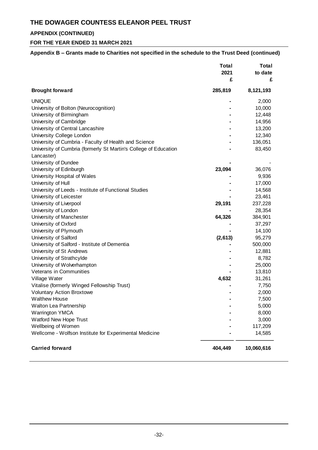## **APPENDIX (CONTINUED)**

### **FOR THE YEAR ENDED 31 MARCH 2021**

### **Appendix B – Grants made to Charities not specified in the schedule to the Trust Deed (continued)**

|                                                                  | <b>Total</b><br>2021 | <b>Total</b><br>to date |
|------------------------------------------------------------------|----------------------|-------------------------|
|                                                                  | £                    | £                       |
| <b>Brought forward</b>                                           | 285,819              | 8,121,193               |
| <b>UNIQUE</b>                                                    |                      | 2,000                   |
| University of Bolton (Neurocognition)                            |                      | 10,000                  |
| University of Birmingham                                         |                      | 12,448                  |
| University of Cambridge                                          |                      | 14,956                  |
| University of Central Lancashire                                 |                      | 13,200                  |
| University College London                                        |                      | 12,340                  |
| University of Cumbria - Faculty of Health and Science            |                      | 136,051                 |
| University of Cumbria (formerly St Martin's College of Education |                      | 83,450                  |
| Lancaster)                                                       |                      |                         |
| University of Dundee                                             |                      |                         |
| University of Edinburgh                                          | 23,094               | 36,076                  |
| University Hospital of Wales                                     |                      | 9,936                   |
| University of Hull                                               |                      | 17,000                  |
| University of Leeds - Institute of Functional Studies            |                      | 14,568                  |
| University of Leicester                                          |                      | 23,461                  |
| University of Liverpool                                          | 29,191               | 237,228                 |
| University of London                                             |                      | 28,354                  |
| University of Manchester                                         | 64,326               | 384,901                 |
| University of Oxford                                             |                      | 37,297                  |
| University of Plymouth                                           |                      | 14,100                  |
| University of Salford                                            | (2,613)              | 95,279                  |
| University of Salford - Institute of Dementia                    |                      | 500,000                 |
| University of St Andrews                                         |                      | 12,881                  |
| University of Strathcylde                                        |                      | 8,782                   |
| University of Wolverhampton                                      |                      | 25,000                  |
| <b>Veterans in Communities</b>                                   |                      | 13,810                  |
| Village Water                                                    | 4,632                | 31,261                  |
| Vitalise (formerly Winged Fellowship Trust)                      |                      | 7,750                   |
| <b>Voluntary Action Broxtowe</b>                                 |                      | 2,000                   |
| <b>Walthew House</b>                                             |                      | 7,500                   |
| Walton Lea Partnership                                           |                      | 5,000                   |
| <b>Warrington YMCA</b>                                           |                      | 8,000                   |
| Watford New Hope Trust                                           |                      | 3,000                   |
| Wellbeing of Women                                               |                      | 117,209                 |
| Wellcome - Wolfson Institute for Experimental Medicine           |                      | 14,585                  |
| <b>Carried forward</b>                                           | 404,449              | 10,060,616              |